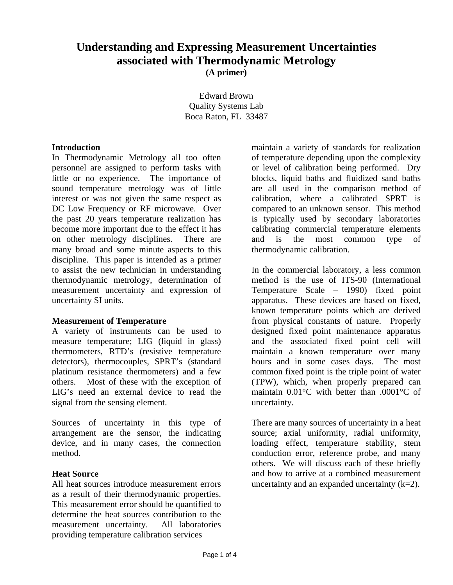# **Understanding and Expressing Measurement Uncertainties associated with Thermodynamic Metrology (A primer)**

Edward Brown Quality Systems Lab Boca Raton, FL 33487

#### **Introduction**

In Thermodynamic Metrology all too often personnel are assigned to perform tasks with little or no experience. The importance of sound temperature metrology was of little interest or was not given the same respect as DC Low Frequency or RF microwave. Over the past 20 years temperature realization has become more important due to the effect it has on other metrology disciplines. There are many broad and some minute aspects to this discipline. This paper is intended as a primer to assist the new technician in understanding thermodynamic metrology, determination of measurement uncertainty and expression of uncertainty SI units.

#### **Measurement of Temperature**

A variety of instruments can be used to measure temperature; LIG (liquid in glass) thermometers, RTD's (resistive temperature detectors), thermocouples, SPRT's (standard platinum resistance thermometers) and a few others. Most of these with the exception of LIG's need an external device to read the signal from the sensing element.

Sources of uncertainty in this type of arrangement are the sensor, the indicating device, and in many cases, the connection method.

### **Heat Source**

All heat sources introduce measurement errors as a result of their thermodynamic properties. This measurement error should be quantified to determine the heat sources contribution to the measurement uncertainty. All laboratories providing temperature calibration services

maintain a variety of standards for realization of temperature depending upon the complexity or level of calibration being performed. Dry blocks, liquid baths and fluidized sand baths are all used in the comparison method of calibration, where a calibrated SPRT is compared to an unknown sensor. This method is typically used by secondary laboratories calibrating commercial temperature elements and is the most common type of thermodynamic calibration.

In the commercial laboratory, a less common method is the use of ITS-90 (International Temperature Scale – 1990) fixed point apparatus. These devices are based on fixed, known temperature points which are derived from physical constants of nature. Properly designed fixed point maintenance apparatus and the associated fixed point cell will maintain a known temperature over many hours and in some cases days. The most common fixed point is the triple point of water (TPW), which, when properly prepared can maintain 0.01°C with better than .0001°C of uncertainty.

There are many sources of uncertainty in a heat source; axial uniformity, radial uniformity, loading effect, temperature stability, stem conduction error, reference probe, and many others. We will discuss each of these briefly and how to arrive at a combined measurement uncertainty and an expanded uncertainty  $(k=2)$ .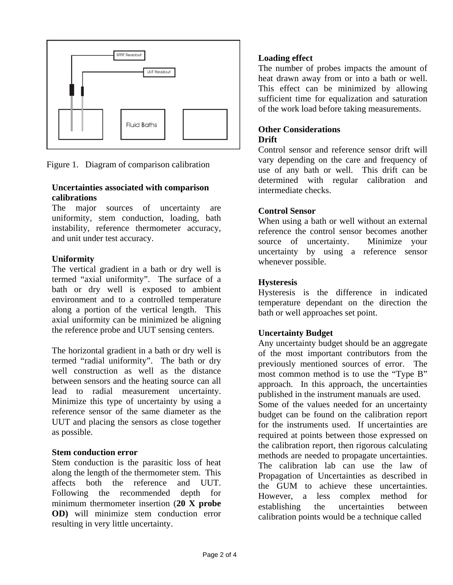

Figure 1. Diagram of comparison calibration

#### **Uncertainties associated with comparison calibrations**

The major sources of uncertainty are uniformity, stem conduction, loading, bath instability, reference thermometer accuracy, and unit under test accuracy.

### **Uniformity**

The vertical gradient in a bath or dry well is termed "axial uniformity". The surface of a bath or dry well is exposed to ambient environment and to a controlled temperature along a portion of the vertical length. This axial uniformity can be minimized be aligning the reference probe and UUT sensing centers.

The horizontal gradient in a bath or dry well is termed "radial uniformity". The bath or dry well construction as well as the distance between sensors and the heating source can all lead to radial measurement uncertainty. Minimize this type of uncertainty by using a reference sensor of the same diameter as the UUT and placing the sensors as close together as possible.

### **Stem conduction error**

Stem conduction is the parasitic loss of heat along the length of the thermometer stem. This affects both the reference and UUT. Following the recommended depth for minimum thermometer insertion (**20 X probe OD)** will minimize stem conduction error resulting in very little uncertainty.

# **Loading effect**

The number of probes impacts the amount of heat drawn away from or into a bath or well. This effect can be minimized by allowing sufficient time for equalization and saturation of the work load before taking measurements.

### **Other Considerations Drift**

Control sensor and reference sensor drift will vary depending on the care and frequency of use of any bath or well. This drift can be determined with regular calibration and intermediate checks.

# **Control Sensor**

When using a bath or well without an external reference the control sensor becomes another source of uncertainty. Minimize your uncertainty by using a reference sensor whenever possible.

# **Hysteresis**

Hysteresis is the difference in indicated temperature dependant on the direction the bath or well approaches set point.

# **Uncertainty Budget**

Any uncertainty budget should be an aggregate of the most important contributors from the previously mentioned sources of error. The most common method is to use the "Type B" approach. In this approach, the uncertainties published in the instrument manuals are used. Some of the values needed for an uncertainty budget can be found on the calibration report for the instruments used. If uncertainties are required at points between those expressed on the calibration report, then rigorous calculating methods are needed to propagate uncertainties. The calibration lab can use the law of Propagation of Uncertainties as described in the GUM to achieve these uncertainties. However, a less complex method for establishing the uncertainties between calibration points would be a technique called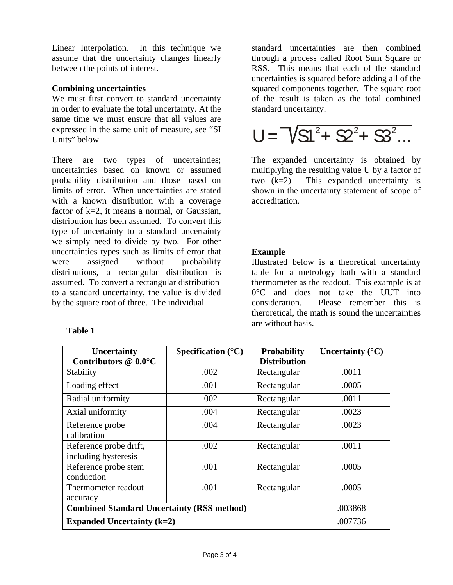Linear Interpolation. In this technique we assume that the uncertainty changes linearly between the points of interest.

#### **Combining uncertainties**

We must first convert to standard uncertainty in order to evaluate the total uncertainty. At the same time we must ensure that all values are expressed in the same unit of measure, see "SI Units" below.

There are two types of uncertainties; uncertainties based on known or assumed probability distribution and those based on limits of error. When uncertainties are stated with a known distribution with a coverage factor of  $k=2$ , it means a normal, or Gaussian, distribution has been assumed. To convert this type of uncertainty to a standard uncertainty we simply need to divide by two. For other uncertainties types such as limits of error that were assigned without probability distributions, a rectangular distribution is assumed. To convert a rectangular distribution to a standard uncertainty, the value is divided by the square root of three. The individual

### **Table 1**

standard uncertainties are then combined through a process called Root Sum Square or RSS. This means that each of the standard uncertainties is squared before adding all of the squared components together. The square root of the result is taken as the total combined standard uncertainty.

$$
U = \sqrt{S1^2 + S2^2 + S3^2 \dots}
$$

The expanded uncertainty is obtained by multiplying the resulting value U by a factor of two (k=2). This expanded uncertainty is shown in the uncertainty statement of scope of accreditation.

### **Example**

Illustrated below is a theoretical uncertainty table for a metrology bath with a standard thermometer as the readout. This example is at 0°C and does not take the UUT into consideration. Please remember this is theroretical, the math is sound the uncertainties are without basis.

| <b>Uncertainty</b>                                | Specification $(^{\circ}C)$ | <b>Probability</b>  | Uncertainty $(^{\circ}C)$ |
|---------------------------------------------------|-----------------------------|---------------------|---------------------------|
| Contributors @ 0.0°C                              |                             | <b>Distribution</b> |                           |
| Stability                                         | .002                        | Rectangular         | .0011                     |
| Loading effect                                    | .001                        | Rectangular         | .0005                     |
| Radial uniformity                                 | .002                        | Rectangular         | .0011                     |
| Axial uniformity                                  | .004                        | Rectangular         | .0023                     |
| Reference probe<br>calibration                    | .004                        | Rectangular         | .0023                     |
| Reference probe drift,<br>including hysteresis    | .002                        | Rectangular         | .0011                     |
| Reference probe stem<br>conduction                | .001                        | Rectangular         | .0005                     |
| Thermometer readout<br>accuracy                   | .001                        | Rectangular         | .0005                     |
| <b>Combined Standard Uncertainty (RSS method)</b> |                             |                     | .003868                   |
| Expanded Uncertainty $(k=2)$                      |                             |                     | .007736                   |